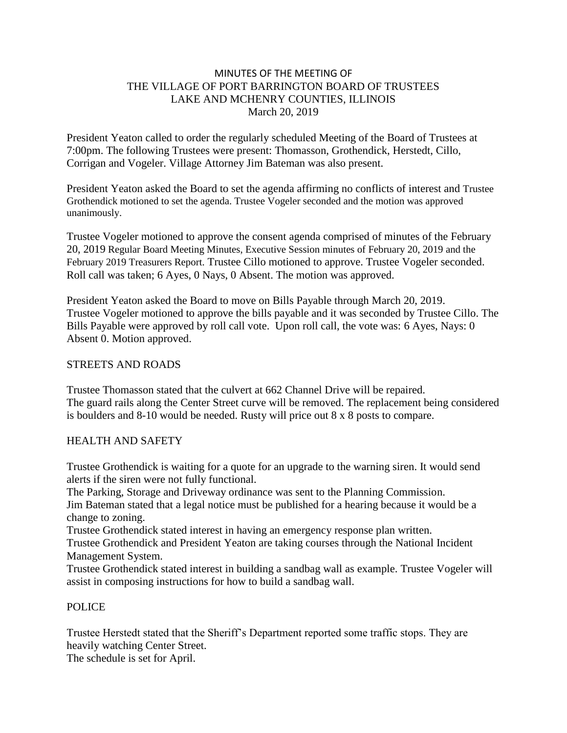## MINUTES OF THE MEETING OF THE VILLAGE OF PORT BARRINGTON BOARD OF TRUSTEES LAKE AND MCHENRY COUNTIES, ILLINOIS March 20, 2019

President Yeaton called to order the regularly scheduled Meeting of the Board of Trustees at 7:00pm. The following Trustees were present: Thomasson, Grothendick, Herstedt, Cillo, Corrigan and Vogeler. Village Attorney Jim Bateman was also present.

President Yeaton asked the Board to set the agenda affirming no conflicts of interest and Trustee Grothendick motioned to set the agenda. Trustee Vogeler seconded and the motion was approved unanimously.

Trustee Vogeler motioned to approve the consent agenda comprised of minutes of the February 20, 2019 Regular Board Meeting Minutes, Executive Session minutes of February 20, 2019 and the February 2019 Treasurers Report. Trustee Cillo motioned to approve. Trustee Vogeler seconded. Roll call was taken; 6 Ayes, 0 Nays, 0 Absent. The motion was approved.

President Yeaton asked the Board to move on Bills Payable through March 20, 2019. Trustee Vogeler motioned to approve the bills payable and it was seconded by Trustee Cillo. The Bills Payable were approved by roll call vote. Upon roll call, the vote was: 6 Ayes, Nays: 0 Absent 0. Motion approved.

## STREETS AND ROADS

Trustee Thomasson stated that the culvert at 662 Channel Drive will be repaired. The guard rails along the Center Street curve will be removed. The replacement being considered is boulders and 8-10 would be needed. Rusty will price out 8 x 8 posts to compare.

# HEALTH AND SAFETY

Trustee Grothendick is waiting for a quote for an upgrade to the warning siren. It would send alerts if the siren were not fully functional.

The Parking, Storage and Driveway ordinance was sent to the Planning Commission.

Jim Bateman stated that a legal notice must be published for a hearing because it would be a change to zoning.

Trustee Grothendick stated interest in having an emergency response plan written.

Trustee Grothendick and President Yeaton are taking courses through the National Incident Management System.

Trustee Grothendick stated interest in building a sandbag wall as example. Trustee Vogeler will assist in composing instructions for how to build a sandbag wall.

# POLICE

Trustee Herstedt stated that the Sheriff's Department reported some traffic stops. They are heavily watching Center Street.

The schedule is set for April.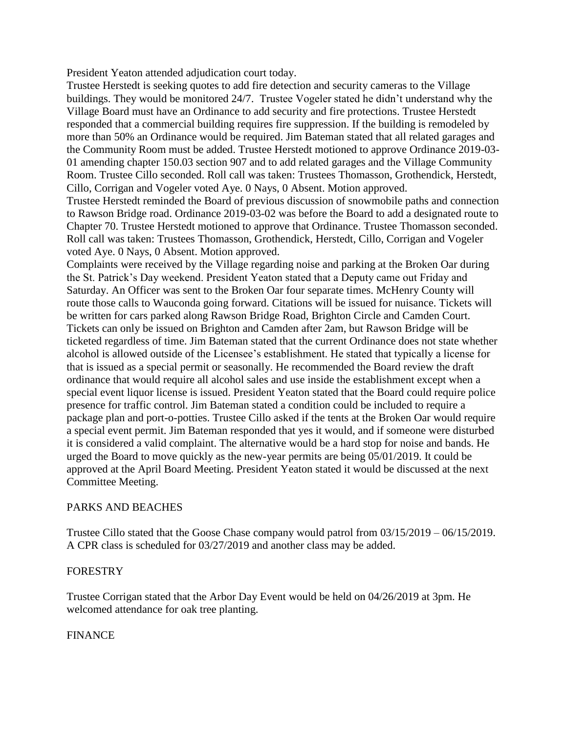President Yeaton attended adjudication court today.

Trustee Herstedt is seeking quotes to add fire detection and security cameras to the Village buildings. They would be monitored 24/7. Trustee Vogeler stated he didn't understand why the Village Board must have an Ordinance to add security and fire protections. Trustee Herstedt responded that a commercial building requires fire suppression. If the building is remodeled by more than 50% an Ordinance would be required. Jim Bateman stated that all related garages and the Community Room must be added. Trustee Herstedt motioned to approve Ordinance 2019-03- 01 amending chapter 150.03 section 907 and to add related garages and the Village Community Room. Trustee Cillo seconded. Roll call was taken: Trustees Thomasson, Grothendick, Herstedt, Cillo, Corrigan and Vogeler voted Aye. 0 Nays, 0 Absent. Motion approved.

Trustee Herstedt reminded the Board of previous discussion of snowmobile paths and connection to Rawson Bridge road. Ordinance 2019-03-02 was before the Board to add a designated route to Chapter 70. Trustee Herstedt motioned to approve that Ordinance. Trustee Thomasson seconded. Roll call was taken: Trustees Thomasson, Grothendick, Herstedt, Cillo, Corrigan and Vogeler voted Aye. 0 Nays, 0 Absent. Motion approved.

Complaints were received by the Village regarding noise and parking at the Broken Oar during the St. Patrick's Day weekend. President Yeaton stated that a Deputy came out Friday and Saturday. An Officer was sent to the Broken Oar four separate times. McHenry County will route those calls to Wauconda going forward. Citations will be issued for nuisance. Tickets will be written for cars parked along Rawson Bridge Road, Brighton Circle and Camden Court. Tickets can only be issued on Brighton and Camden after 2am, but Rawson Bridge will be ticketed regardless of time. Jim Bateman stated that the current Ordinance does not state whether alcohol is allowed outside of the Licensee's establishment. He stated that typically a license for that is issued as a special permit or seasonally. He recommended the Board review the draft ordinance that would require all alcohol sales and use inside the establishment except when a special event liquor license is issued. President Yeaton stated that the Board could require police presence for traffic control. Jim Bateman stated a condition could be included to require a package plan and port-o-potties. Trustee Cillo asked if the tents at the Broken Oar would require a special event permit. Jim Bateman responded that yes it would, and if someone were disturbed it is considered a valid complaint. The alternative would be a hard stop for noise and bands. He urged the Board to move quickly as the new-year permits are being 05/01/2019. It could be approved at the April Board Meeting. President Yeaton stated it would be discussed at the next Committee Meeting.

### PARKS AND BEACHES

Trustee Cillo stated that the Goose Chase company would patrol from 03/15/2019 – 06/15/2019. A CPR class is scheduled for 03/27/2019 and another class may be added.

### FORESTRY

Trustee Corrigan stated that the Arbor Day Event would be held on 04/26/2019 at 3pm. He welcomed attendance for oak tree planting.

# FINANCE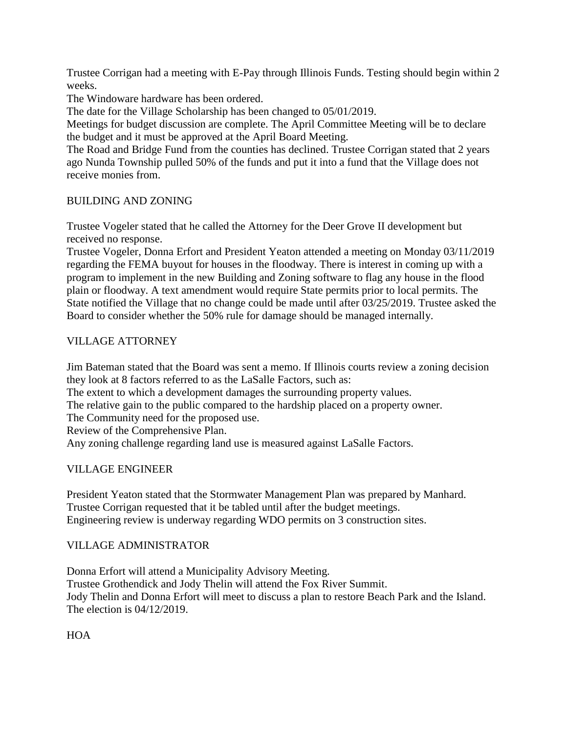Trustee Corrigan had a meeting with E-Pay through Illinois Funds. Testing should begin within 2 weeks.

The Windoware hardware has been ordered.

The date for the Village Scholarship has been changed to 05/01/2019.

Meetings for budget discussion are complete. The April Committee Meeting will be to declare the budget and it must be approved at the April Board Meeting.

The Road and Bridge Fund from the counties has declined. Trustee Corrigan stated that 2 years ago Nunda Township pulled 50% of the funds and put it into a fund that the Village does not receive monies from.

# BUILDING AND ZONING

Trustee Vogeler stated that he called the Attorney for the Deer Grove II development but received no response.

Trustee Vogeler, Donna Erfort and President Yeaton attended a meeting on Monday 03/11/2019 regarding the FEMA buyout for houses in the floodway. There is interest in coming up with a program to implement in the new Building and Zoning software to flag any house in the flood plain or floodway. A text amendment would require State permits prior to local permits. The State notified the Village that no change could be made until after 03/25/2019. Trustee asked the Board to consider whether the 50% rule for damage should be managed internally.

# VILLAGE ATTORNEY

Jim Bateman stated that the Board was sent a memo. If Illinois courts review a zoning decision they look at 8 factors referred to as the LaSalle Factors, such as:

The extent to which a development damages the surrounding property values.

The relative gain to the public compared to the hardship placed on a property owner.

The Community need for the proposed use.

Review of the Comprehensive Plan.

Any zoning challenge regarding land use is measured against LaSalle Factors.

# VILLAGE ENGINEER

President Yeaton stated that the Stormwater Management Plan was prepared by Manhard. Trustee Corrigan requested that it be tabled until after the budget meetings. Engineering review is underway regarding WDO permits on 3 construction sites.

# VILLAGE ADMINISTRATOR

Donna Erfort will attend a Municipality Advisory Meeting. Trustee Grothendick and Jody Thelin will attend the Fox River Summit. Jody Thelin and Donna Erfort will meet to discuss a plan to restore Beach Park and the Island. The election is 04/12/2019.

HOA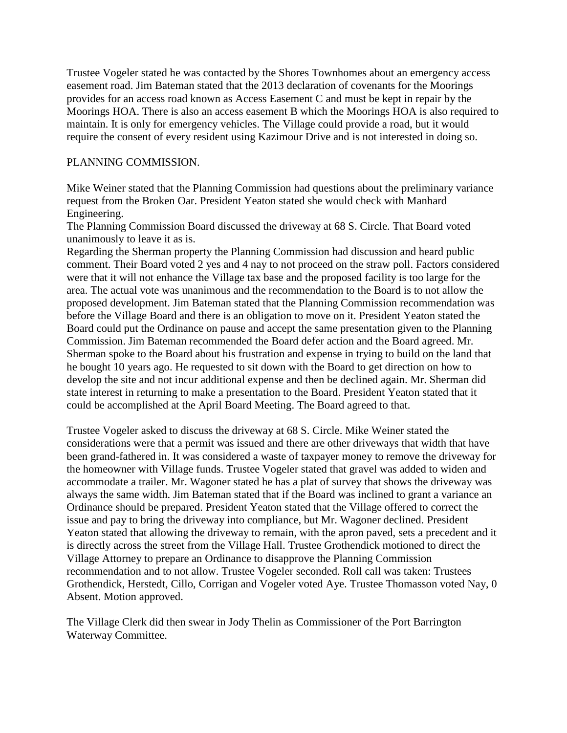Trustee Vogeler stated he was contacted by the Shores Townhomes about an emergency access easement road. Jim Bateman stated that the 2013 declaration of covenants for the Moorings provides for an access road known as Access Easement C and must be kept in repair by the Moorings HOA. There is also an access easement B which the Moorings HOA is also required to maintain. It is only for emergency vehicles. The Village could provide a road, but it would require the consent of every resident using Kazimour Drive and is not interested in doing so.

## PLANNING COMMISSION.

Mike Weiner stated that the Planning Commission had questions about the preliminary variance request from the Broken Oar. President Yeaton stated she would check with Manhard Engineering.

The Planning Commission Board discussed the driveway at 68 S. Circle. That Board voted unanimously to leave it as is.

Regarding the Sherman property the Planning Commission had discussion and heard public comment. Their Board voted 2 yes and 4 nay to not proceed on the straw poll. Factors considered were that it will not enhance the Village tax base and the proposed facility is too large for the area. The actual vote was unanimous and the recommendation to the Board is to not allow the proposed development. Jim Bateman stated that the Planning Commission recommendation was before the Village Board and there is an obligation to move on it. President Yeaton stated the Board could put the Ordinance on pause and accept the same presentation given to the Planning Commission. Jim Bateman recommended the Board defer action and the Board agreed. Mr. Sherman spoke to the Board about his frustration and expense in trying to build on the land that he bought 10 years ago. He requested to sit down with the Board to get direction on how to develop the site and not incur additional expense and then be declined again. Mr. Sherman did state interest in returning to make a presentation to the Board. President Yeaton stated that it could be accomplished at the April Board Meeting. The Board agreed to that.

Trustee Vogeler asked to discuss the driveway at 68 S. Circle. Mike Weiner stated the considerations were that a permit was issued and there are other driveways that width that have been grand-fathered in. It was considered a waste of taxpayer money to remove the driveway for the homeowner with Village funds. Trustee Vogeler stated that gravel was added to widen and accommodate a trailer. Mr. Wagoner stated he has a plat of survey that shows the driveway was always the same width. Jim Bateman stated that if the Board was inclined to grant a variance an Ordinance should be prepared. President Yeaton stated that the Village offered to correct the issue and pay to bring the driveway into compliance, but Mr. Wagoner declined. President Yeaton stated that allowing the driveway to remain, with the apron paved, sets a precedent and it is directly across the street from the Village Hall. Trustee Grothendick motioned to direct the Village Attorney to prepare an Ordinance to disapprove the Planning Commission recommendation and to not allow. Trustee Vogeler seconded. Roll call was taken: Trustees Grothendick, Herstedt, Cillo, Corrigan and Vogeler voted Aye. Trustee Thomasson voted Nay, 0 Absent. Motion approved.

The Village Clerk did then swear in Jody Thelin as Commissioner of the Port Barrington Waterway Committee.